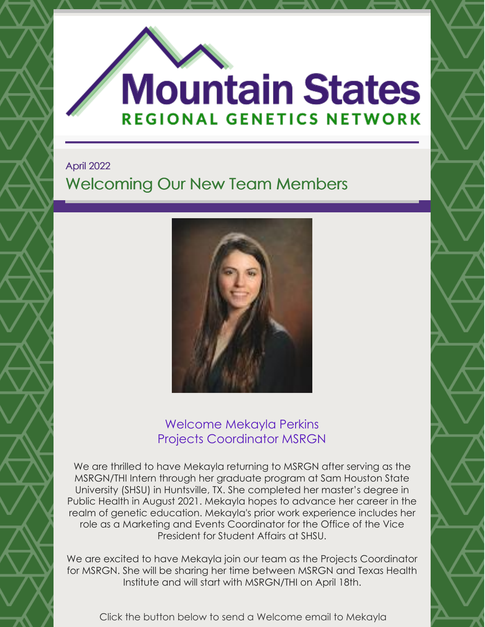

April 2022 Welcoming Our New Team Members



## Welcome Mekayla Perkins Projects Coordinator MSRGN

We are thrilled to have Mekayla returning to MSRGN after serving as the MSRGN/THI Intern through her graduate program at Sam Houston State University (SHSU) in Huntsville, TX. She completed her master's degree in Public Health in August 2021. Mekayla hopes to advance her career in the realm of genetic education. Mekayla's prior work experience includes her role as a Marketing and Events Coordinator for the Office of the Vice President for Student Affairs at SHSU.

We are excited to have Mekayla join our team as the Projects Coordinator for MSRGN. She will be sharing her time between MSRGN and Texas Health Institute and will start with MSRGN/THI on April 18th.

Click the button below to send a Welcome email to Mekayla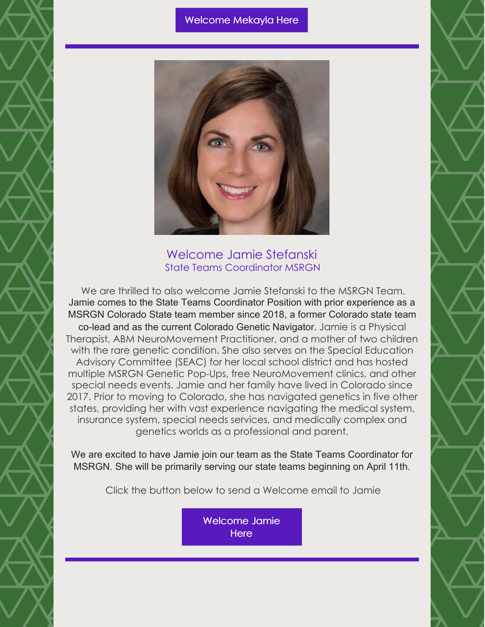#### [Welcome](mailto:mountainstatesregionalgenetics@gmail.com) Mekayla Here



Welcome Jamie Stefanski State Teams Coordinator MSRGN

We are thrilled to also welcome Jamie Stefanski to the MSRGN Team. Jamie comes to the State Teams Coordinator Position with prior experience as a MSRGN Colorado State team member since 2018, a former Colorado state team co-lead and as the current Colorado Genetic Navigator. Jamie is a Physical Therapist, ABM NeuroMovement Practitioner, and a mother of two children with the rare genetic condition. She also serves on the Special Education Advisory Committee (SEAC) for her local school district and has hosted multiple MSRGN Genetic Pop-Ups, free NeuroMovement clinics, and other special needs events. Jamie and her family have lived in Colorado since 2017. Prior to moving to Colorado, she has navigated genetics in five other states, providing her with vast experience navigating the medical system, insurance system, special needs services, and medically complex and genetics worlds as a professional and parent.

We are excited to have Jamie join our team as the State Teams Coordinator for MSRGN. She will be primarily serving our state teams beginning on April 11th.

Click the button below to send a Welcome email to Jamie

[Welcome](mailto:jstefanski@mountainstatesgenetics.org) Jamie **Here**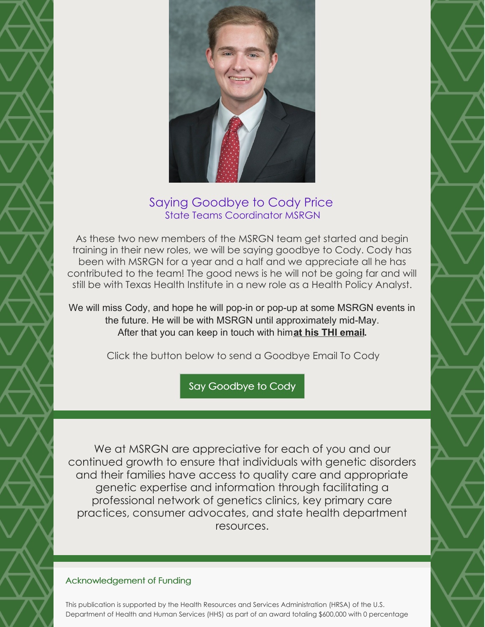

### Saying Goodbye to Cody Price State Teams Coordinator MSRGN

As these two new members of the MSRGN team get started and begin training in their new roles, we will be saying goodbye to Cody. Cody has been with MSRGN for a year and a half and we appreciate all he has contributed to the team! The good news is he will not be going far and will still be with Texas Health Institute in a new role as a Health Policy Analyst.

We will miss Cody, and hope he will pop-in or pop-up at some MSRGN events in the future. He will be with MSRGN until approximately mid-May. After that you can keep in touch with him**at his THI [email.](mailto:cprice@texashealthinstitute.org)**

Click the button below to send a Goodbye Email To Cody

Say [Goodbye](mailto:cprice@texashealthinstitute.org) to Cody

We at MSRGN are appreciative for each of you and our continued growth to ensure that individuals with genetic disorders and their families have access to quality care and appropriate genetic expertise and information through facilitating a professional network of genetics clinics, key primary care practices, consumer advocates, and state health department resources.

### Acknowledgement of Funding

This publication is supported by the Health Resources and Services Administration (HRSA) of the U.S. Department of Health and Human Services (HHS) as part of an award totaling \$600,000 with 0 percentage